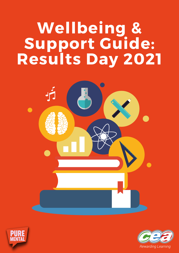## **Wellbeing & Support Guide: Results Day 2021**





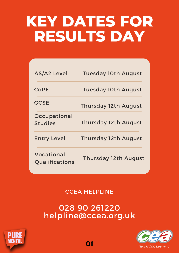### **KEY DATES FOR RESULTS DAY**

| <b>AS/A2 Level</b>             | <b>Tuesday 10th August</b>  |
|--------------------------------|-----------------------------|
| <b>CoPE</b>                    | <b>Tuesday 10th August</b>  |
| <b>GCSE</b>                    | <b>Thursday 12th August</b> |
| Occupational<br><b>Studies</b> | <b>Thursday 12th August</b> |
| <b>Entry Level</b>             | <b>Thursday 12th August</b> |
| Vocational<br>Qualifications   | <b>Thursday 12th August</b> |

#### CCEA HELPLINE

#### 028 90 261220 helpline@ccea.org.uk



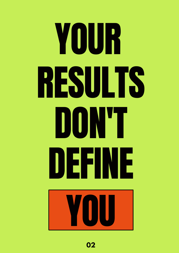# YOUR RESULTS DON'T DEFINE YOU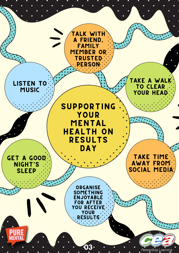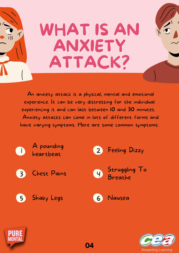# WHAT IS AN ANXIETY ATTACK?

An anxiety attack is a physical, mental and emotional experience. It can be very distressing for the individual experiencing it and can last between 10 and 30 minutes. Anxiety attacks can come in lots of different forms and have varying symptoms. Here are some common symptoms:





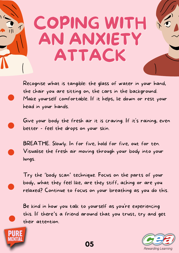# COPING WITH AN ANXIETY ATTACK

Recognise what is tangible: the glass of water in your hand, the chair you are sitting on, the cars in the background. Make yourself comfortable. If it helps, lie down or rest your head in your hands.

Give your body the fresh air it is craving. If it's raining, even better - feel the drops on your skin.

BREATHE. Slowly. In for five, hold for five, out for ten. Visualise the fresh air moving through your body into your lungs.

Try the 'body scan ' technique. Focus on the parts of your body, what they feel like, are they stiff, aching or are you relaxed? Continue to focus on your breathing as you do this.

Be kind in how you talk to yourself as you're experiencing this. If there's a friend around that you trust, try and get their attention.



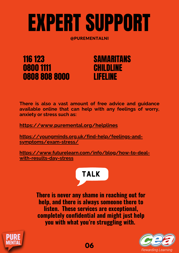# EXPERT SUPPORT

@PUREMENTALNI



#### SAMARITANS CHILDLINE LIFELINE

**There is also a vast amount of free advice and guidance available online that can help with any feelings of worry, anxiety or stress such as:**

**<https://www.puremental.org/helplines>**

**[https://youngminds.org.uk/find-help/feelings-and](https://youngminds.org.uk/find-help/feelings-and-symptoms/exam-stress/)symptoms/exam-stress/**

**[https://www.futurelearn.com/info/blog/how-to-deal](https://www.futurelearn.com/info/blog/how-to-deal-with-results-day-stress)with-results-day-stress**

#### TALK

**There is never any shame in reaching out for help, and there is always someone there to listen. These services are exceptional, completely confidential and might just help you with what you're struggling with.**



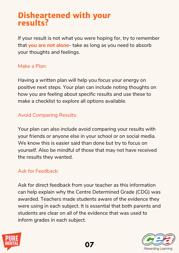#### **Disheartened with your results?**

If your result is not what you were hoping for, try to remember that **you are not alone**- take as long as you need to absorb your thoughts and feelings.

#### Make a Plan:

Having a written plan will help you focus your energy on positive next steps. Your plan can include noting thoughts on how you are feeling about specific results and use these to make a checklist to explore all options available.

#### Avoid Comparing Results:

Your plan can also include avoid comparing your results with your friends or anyone else in your school or on social media. We know this is easier said than done but try to focus on yourself. Also be mindful of those that may not have received the results they wanted.

#### Ask for Feedback:

Ask for direct feedback from your teacher as this information can help explain why the Centre Determined Grade (CDG) was awarded. Teachers made students aware of the evidence they were using in each subject. It is essential that both parents and students are clear on all of the evidence that was used to inform grades in each subject.



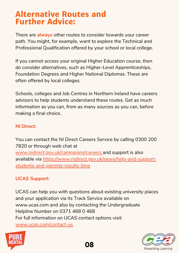#### **Alternative Routes and Further Advice:**

There are **always** other routes to consider towards your career path. You might, for example, want to explore the Technical and Professional Qualification offered by your school or local college.

If you cannot access your original Higher Education course, then do consider alternatives, such as Higher-Level Apprenticeships, Foundation Degrees and Higher National Diplomas. These are often offered by local colleges.

Schools, colleges and Job Centres in Northern Ireland have careers advisors to help students understand these routes. Get as much information as you can, from as many sources as you can, before making a final choice.

#### **NI Direct:**

You can contact the NI Direct Careers Service by calling 0300 200 7820 or through web chat at [www.nidirect.gov.uk/campaigns/careers](http://www.nidirect.gov.uk/campaigns/careers) and support is also available via [https://www.nidirect.gov.uk/news/help-and-support](https://www.nidirect.gov.uk/news/help-and-support-students-and-parents-results-time)students-and-parents-results-time

#### **UCAS Support:**

UCAS can help you with questions about existing university places and your application via its Track Service available on [www.ucas.com](http://www.ucas.com/) and also by contacting the Undergraduate Helpline Number on 0371 468 0 468 For full information on UCAS contact options visit: [www.ucas.com/contact-us](http://www.ucas.com/contact-us)



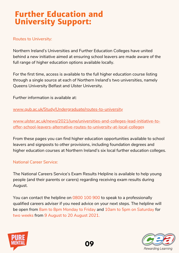#### **Further Education and University Support:**

#### Routes to University:

Northern Ireland's Universities and Further Education Colleges have united behind a new initiative aimed at ensuring school leavers are made aware of the full range of higher education options available locally.

For the first time, access is available to the full higher education course listing through a single source at each of Northern Ireland's two universities, namely Queens University Belfast and Ulster University.

Further information is available at:

[www.qub.ac.uk/Study/Undergraduate/routes-to-university](http://www.qub.ac.uk/Study/Undergraduate/routes-to-university/)

[www.ulster.ac.uk/news/2021/june/universities-and-colleges-lead-initiative-to](https://www.ulster.ac.uk/news/2021/june/universities-and-colleges-lead-initiative-to-offer-school-leavers-alternative-routes-to-university-at-local-colleges)offer-school-leavers-alternative-routes-to-university-at-local-colleg[es](https://www.ulster.ac.uk/news/2021/june/universities-and-colleges-lead-initiative-to-offer-school-leavers-alternative-routes-to-university-at-local-colleges)

From these pages you can find higher education opportunities available to school leavers and signposts to other provisions, including foundation degrees and higher education courses at Northern Ireland's six local further education colleges.

#### National Career Service:

The National Careers Service's Exam Results Helpline is available to help young people (and their parents or carers) regarding receiving exam results during August.

You can contact the helpline on 0800 100 900 to speak to a professionally qualified careers adviser if you need advice on your next steps. The helpline will be open from 8am to 8pm Monday to Friday and 10am to 5pm on Saturday for two weeks from 9 August to 20 August 2021.



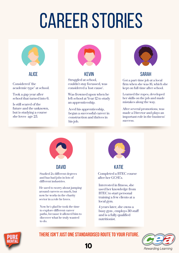# **CAREER STORIES**



Considered "the academic type" at school.

Took a gap year after school that turned into 6.

Is still scared of the future and the unknown, but is studying a course she loves- age 25.



Struggled at school, couldn't stay focussed, was considered a 'lost cause'.

Was frowned upon when he left school at Year 12 to study an apprenticeship.

Aced his apprenticeship, began a successful career in construction and thrives in his job.



#### ALICE KEVIN SARAH

Got a part-time job at a local firm when she was 16, which she kept on full-time after school.

Learned the ropes, developed her skills on the job and made mistakes along the way.

After several promotions, was made a Director and plays an important role in the business' success.



#### DAVID

Studied 2x different degrees and has had jobs in lots of different industries.

He used to worry about jumping around careers so much, but now he works in the charity sector in a role he loves.

Now he's glad he took the time to explore different career paths, because it allowed him to discover what he truly wanted to do.



#### **KATIE**

Completed a BTEC course after her GCSE's.

Interested in fitness, she used her knowledge from BTEC to start personal training a few clients at a local gym.

4 years later, she owns a busy gym , employs 30 staff and is a fully qualified nutritionist.



#### **THEREISN'TJUSTONESTANDARDISED ROUTETOYOUR FUTURE.**